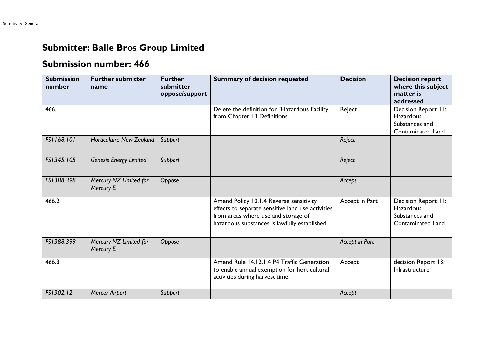## **Submitter: Balle Bros Group Limited**

## **Submission number: 466**

| <b>Submission</b><br>number | <b>Further submitter</b><br>name    | <b>Further</b><br>submitter<br>oppose/support | <b>Summary of decision requested</b>                                                                                                                                                 | <b>Decision</b> | <b>Decision report</b><br>where this subject<br>matter is<br>addressed                |
|-----------------------------|-------------------------------------|-----------------------------------------------|--------------------------------------------------------------------------------------------------------------------------------------------------------------------------------------|-----------------|---------------------------------------------------------------------------------------|
| 466.1                       |                                     |                                               | Delete the definition for "Hazardous Facility"<br>from Chapter 13 Definitions.                                                                                                       | Reject          | Decision Report II:<br><b>Hazardous</b><br>Substances and<br>Contaminated Land        |
| FS1168.101                  | <b>Horticulture New Zealand</b>     | Support                                       |                                                                                                                                                                                      | Reject          |                                                                                       |
| FS1345.105                  | <b>Genesis Energy Limited</b>       | Support                                       |                                                                                                                                                                                      | Reject          |                                                                                       |
| FS1388.398                  | Mercury NZ Limited for<br>Mercury E | Oppose                                        |                                                                                                                                                                                      | Accept          |                                                                                       |
| 466.2                       |                                     |                                               | Amend Policy 10.1.4 Reverse sensitivity<br>effects to separate sensitive land use activities<br>from areas where use and storage of<br>hazardous substances is lawfully established. | Accept in Part  | Decision Report II:<br><b>Hazardous</b><br>Substances and<br><b>Contaminated Land</b> |
| FS1388.399                  | Mercury NZ Limited for<br>Mercury E | Oppose                                        |                                                                                                                                                                                      | Accept in Part  |                                                                                       |
| 466.3                       |                                     |                                               | Amend Rule 14.12.1.4 P4 Traffic Generation<br>to enable annual exemption for horticultural<br>activities during harvest time.                                                        | Accept          | decision Report 13:<br>Infrastructure                                                 |
| FS1302.12                   | <b>Mercer Airport</b>               | Support                                       |                                                                                                                                                                                      | Accept          |                                                                                       |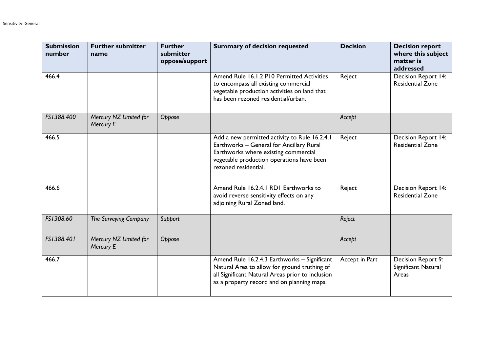| <b>Submission</b><br>number | <b>Further submitter</b><br>name    | <b>Further</b><br>submitter<br>oppose/support | <b>Summary of decision requested</b>                                                                                                                                                                   | <b>Decision</b> | <b>Decision report</b><br>where this subject<br>matter is<br>addressed |
|-----------------------------|-------------------------------------|-----------------------------------------------|--------------------------------------------------------------------------------------------------------------------------------------------------------------------------------------------------------|-----------------|------------------------------------------------------------------------|
| 466.4                       |                                     |                                               | Amend Rule 16.1.2 P10 Permitted Activities<br>to encompass all existing commercial<br>vegetable production activities on land that<br>has been rezoned residential/urban.                              | Reject          | Decision Report 14:<br><b>Residential Zone</b>                         |
| FS1388.400                  | Mercury NZ Limited for<br>Mercury E | Oppose                                        |                                                                                                                                                                                                        | Accept          |                                                                        |
| 466.5                       |                                     |                                               | Add a new permitted activity to Rule 16.2.4.1<br>Earthworks - General for Ancillary Rural<br>Earthworks where existing commercial<br>vegetable production operations have been<br>rezoned residential. | Reject          | Decision Report 14:<br><b>Residential Zone</b>                         |
| 466.6                       |                                     |                                               | Amend Rule 16.2.4.1 RD1 Earthworks to<br>avoid reverse sensitivity effects on any<br>adjoining Rural Zoned land.                                                                                       | Reject          | Decision Report 14:<br><b>Residential Zone</b>                         |
| FS1308.60                   | The Surveying Company               | Support                                       |                                                                                                                                                                                                        | Reject          |                                                                        |
| FS1388.401                  | Mercury NZ Limited for<br>Mercury E | Oppose                                        |                                                                                                                                                                                                        | Accept          |                                                                        |
| 466.7                       |                                     |                                               | Amend Rule 16.2.4.3 Earthworks - Significant<br>Natural Area to allow for ground truthing of<br>all Significant Natural Areas prior to inclusion<br>as a property record and on planning maps.         | Accept in Part  | Decision Report 9:<br>Significant Natural<br>Areas                     |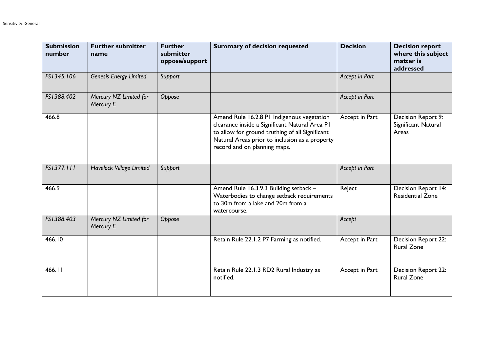| <b>Submission</b><br>number | <b>Further submitter</b><br>name    | <b>Further</b><br>submitter<br>oppose/support | <b>Summary of decision requested</b>                                                                                                                                                                                              | <b>Decision</b> | <b>Decision report</b><br>where this subject<br>matter is<br>addressed |
|-----------------------------|-------------------------------------|-----------------------------------------------|-----------------------------------------------------------------------------------------------------------------------------------------------------------------------------------------------------------------------------------|-----------------|------------------------------------------------------------------------|
| FS1345.106                  | <b>Genesis Energy Limited</b>       | Support                                       |                                                                                                                                                                                                                                   | Accept in Part  |                                                                        |
| FS1388.402                  | Mercury NZ Limited for<br>Mercury E | Oppose                                        |                                                                                                                                                                                                                                   | Accept in Part  |                                                                        |
| 466.8                       |                                     |                                               | Amend Rule 16.2.8 PI Indigenous vegetation<br>clearance inside a Significant Natural Area PI<br>to allow for ground truthing of all Significant<br>Natural Areas prior to inclusion as a property<br>record and on planning maps. | Accept in Part  | Decision Report 9:<br>Significant Natural<br>Areas                     |
| FS1377.111                  | Havelock Village Limited            | Support                                       |                                                                                                                                                                                                                                   | Accept in Part  |                                                                        |
| 466.9                       |                                     |                                               | Amend Rule 16.3.9.3 Building setback -<br>Waterbodies to change setback requirements<br>to 30m from a lake and 20m from a<br>watercourse.                                                                                         | Reject          | Decision Report 14:<br><b>Residential Zone</b>                         |
| FS1388.403                  | Mercury NZ Limited for<br>Mercury E | Oppose                                        |                                                                                                                                                                                                                                   | Accept          |                                                                        |
| 466.10                      |                                     |                                               | Retain Rule 22.1.2 P7 Farming as notified.                                                                                                                                                                                        | Accept in Part  | <b>Decision Report 22:</b><br><b>Rural Zone</b>                        |
| 466.II                      |                                     |                                               | Retain Rule 22.1.3 RD2 Rural Industry as<br>notified.                                                                                                                                                                             | Accept in Part  | Decision Report 22:<br><b>Rural Zone</b>                               |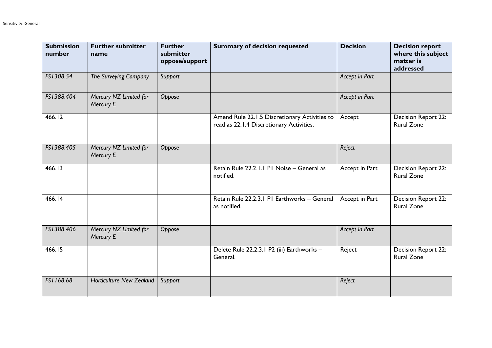| <b>Submission</b><br>number | <b>Further submitter</b><br>name    | <b>Further</b><br>submitter<br>oppose/support | <b>Summary of decision requested</b>                                                      | <b>Decision</b> | <b>Decision report</b><br>where this subject<br>matter is<br>addressed |
|-----------------------------|-------------------------------------|-----------------------------------------------|-------------------------------------------------------------------------------------------|-----------------|------------------------------------------------------------------------|
| FS1308.54                   | The Surveying Company               | Support                                       |                                                                                           | Accept in Part  |                                                                        |
| FS1388.404                  | Mercury NZ Limited for<br>Mercury E | Oppose                                        |                                                                                           | Accept in Part  |                                                                        |
| 466.12                      |                                     |                                               | Amend Rule 22.1.5 Discretionary Activities to<br>read as 22.1.4 Discretionary Activities. | Accept          | Decision Report 22:<br><b>Rural Zone</b>                               |
| FS1388.405                  | Mercury NZ Limited for<br>Mercury E | Oppose                                        |                                                                                           | Reject          |                                                                        |
| 466.13                      |                                     |                                               | Retain Rule 22.2.1.1 P1 Noise - General as<br>notified.                                   | Accept in Part  | Decision Report 22:<br><b>Rural Zone</b>                               |
| 466.14                      |                                     |                                               | Retain Rule 22.2.3.1 PI Earthworks - General<br>as notified.                              | Accept in Part  | Decision Report 22:<br><b>Rural Zone</b>                               |
| FS1388.406                  | Mercury NZ Limited for<br>Mercury E | Oppose                                        |                                                                                           | Accept in Part  |                                                                        |
| 466.15                      |                                     |                                               | Delete Rule 22.2.3.1 P2 (iii) Earthworks -<br>General.                                    | Reject          | Decision Report 22:<br><b>Rural Zone</b>                               |
| FS1168.68                   | <b>Horticulture New Zealand</b>     | Support                                       |                                                                                           | Reject          |                                                                        |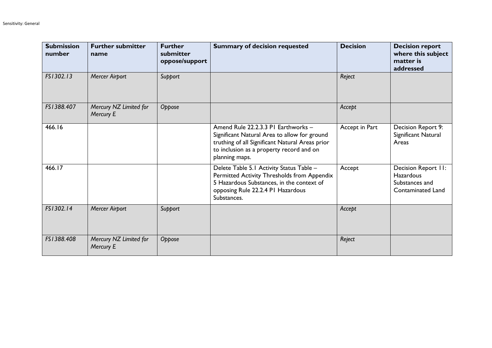| <b>Submission</b><br>number | <b>Further submitter</b><br>name    | <b>Further</b><br>submitter<br>oppose/support | <b>Summary of decision requested</b>                                                                                                                                                                 | <b>Decision</b> | <b>Decision report</b><br>where this subject<br>matter is<br>addressed                |
|-----------------------------|-------------------------------------|-----------------------------------------------|------------------------------------------------------------------------------------------------------------------------------------------------------------------------------------------------------|-----------------|---------------------------------------------------------------------------------------|
| FS1302.13                   | Mercer Airport                      | Support                                       |                                                                                                                                                                                                      | Reject          |                                                                                       |
| FS1388.407                  | Mercury NZ Limited for<br>Mercury E | Oppose                                        |                                                                                                                                                                                                      | Accept          |                                                                                       |
| 466.16                      |                                     |                                               | Amend Rule 22.2.3.3 PI Earthworks -<br>Significant Natural Area to allow for ground<br>truthing of all Significant Natural Areas prior<br>to inclusion as a property record and on<br>planning maps. | Accept in Part  | Decision Report 9:<br>Significant Natural<br>Areas                                    |
| 466.17                      |                                     |                                               | Delete Table 5.1 Activity Status Table -<br>Permitted Activity Thresholds from Appendix<br>5 Hazardous Substances, in the context of<br>opposing Rule 22.2.4 PI Hazardous<br>Substances.             | Accept          | Decision Report II:<br><b>Hazardous</b><br>Substances and<br><b>Contaminated Land</b> |
| FS1302.14                   | <b>Mercer Airport</b>               | Support                                       |                                                                                                                                                                                                      | Accept          |                                                                                       |
| FS1388.408                  | Mercury NZ Limited for<br>Mercury E | Oppose                                        |                                                                                                                                                                                                      | Reject          |                                                                                       |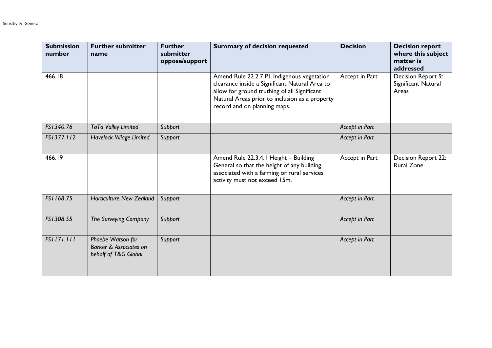| <b>Submission</b><br>number | <b>Further submitter</b><br>name                                               | <b>Further</b><br>submitter<br>oppose/support | <b>Summary of decision requested</b>                                                                                                                                                                                           | <b>Decision</b> | <b>Decision report</b><br>where this subject<br>matter is<br>addressed |
|-----------------------------|--------------------------------------------------------------------------------|-----------------------------------------------|--------------------------------------------------------------------------------------------------------------------------------------------------------------------------------------------------------------------------------|-----------------|------------------------------------------------------------------------|
| 466.18                      |                                                                                |                                               | Amend Rule 22.2.7 PI Indigenous vegetation<br>clearance inside a Significant Natural Area to<br>allow for ground truthing of all Significant<br>Natural Areas prior to inclusion as a property<br>record and on planning maps. | Accept in Part  | Decision Report 9:<br>Significant Natural<br>Areas                     |
| FS1340.76                   | TaTa Valley Limited                                                            | Support                                       |                                                                                                                                                                                                                                | Accept in Part  |                                                                        |
| FS1377.112                  | Havelock Village Limited                                                       | Support                                       |                                                                                                                                                                                                                                | Accept in Part  |                                                                        |
| 466.19                      |                                                                                |                                               | Amend Rule 22.3.4.1 Height - Building<br>General so that the height of any building<br>associated with a farming or rural services<br>activity must not exceed 15m.                                                            | Accept in Part  | Decision Report 22:<br><b>Rural Zone</b>                               |
| FS1168.75                   | <b>Horticulture New Zealand</b>                                                | Support                                       |                                                                                                                                                                                                                                | Accept in Part  |                                                                        |
| FS1308.55                   | The Surveying Company                                                          | Support                                       |                                                                                                                                                                                                                                | Accept in Part  |                                                                        |
| FS1171.111                  | Phoebe Watson for<br><b>Barker &amp; Associates on</b><br>behalf of T&G Global | Support                                       |                                                                                                                                                                                                                                | Accept in Part  |                                                                        |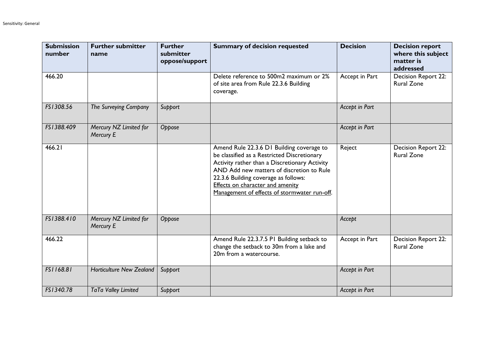| <b>Submission</b><br>number | <b>Further submitter</b><br>name    | <b>Further</b><br>submitter<br>oppose/support | <b>Summary of decision requested</b>                                                                                                                                                                                                                                                                                      | <b>Decision</b> | <b>Decision report</b><br>where this subject<br>matter is<br>addressed |
|-----------------------------|-------------------------------------|-----------------------------------------------|---------------------------------------------------------------------------------------------------------------------------------------------------------------------------------------------------------------------------------------------------------------------------------------------------------------------------|-----------------|------------------------------------------------------------------------|
| 466.20                      |                                     |                                               | Delete reference to 500m2 maximum or 2%<br>of site area from Rule 22.3.6 Building<br>coverage.                                                                                                                                                                                                                            | Accept in Part  | Decision Report 22:<br><b>Rural Zone</b>                               |
| FS1308.56                   | The Surveying Company               | Support                                       |                                                                                                                                                                                                                                                                                                                           | Accept in Part  |                                                                        |
| FS1388.409                  | Mercury NZ Limited for<br>Mercury E | Oppose                                        |                                                                                                                                                                                                                                                                                                                           | Accept in Part  |                                                                        |
| 466.21                      |                                     |                                               | Amend Rule 22.3.6 D1 Building coverage to<br>be classified as a Restricted Discretionary<br>Activity rather than a Discretionary Activity<br>AND Add new matters of discretion to Rule<br>22.3.6 Building coverage as follows:<br><b>Effects on character and amenity</b><br>Management of effects of stormwater run-off. | Reject          | Decision Report 22:<br><b>Rural Zone</b>                               |
| FS1388.410                  | Mercury NZ Limited for<br>Mercury E | Oppose                                        |                                                                                                                                                                                                                                                                                                                           | Accept          |                                                                        |
| 466.22                      |                                     |                                               | Amend Rule 22.3.7.5 PI Building setback to<br>change the setback to 30m from a lake and<br>20m from a watercourse.                                                                                                                                                                                                        | Accept in Part  | <b>Decision Report 22:</b><br><b>Rural Zone</b>                        |
| FS1168.81                   | <b>Horticulture New Zealand</b>     | Support                                       |                                                                                                                                                                                                                                                                                                                           | Accept in Part  |                                                                        |
| FS1340.78                   | TaTa Valley Limited                 | Support                                       |                                                                                                                                                                                                                                                                                                                           | Accept in Part  |                                                                        |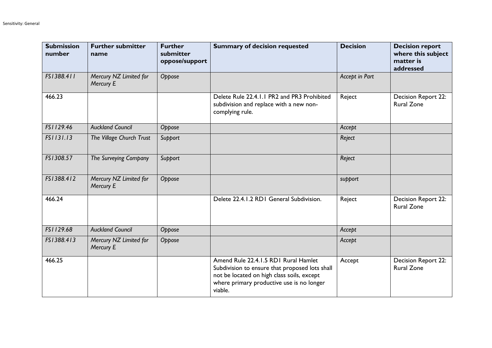| <b>Submission</b><br>number | <b>Further submitter</b><br>name    | <b>Further</b><br>submitter<br>oppose/support | <b>Summary of decision requested</b>                                                                                                                                                         | <b>Decision</b> | <b>Decision report</b><br>where this subject<br>matter is<br>addressed |
|-----------------------------|-------------------------------------|-----------------------------------------------|----------------------------------------------------------------------------------------------------------------------------------------------------------------------------------------------|-----------------|------------------------------------------------------------------------|
| FS1388.411                  | Mercury NZ Limited for<br>Mercury E | Oppose                                        |                                                                                                                                                                                              | Accept in Part  |                                                                        |
| 466.23                      |                                     |                                               | Delete Rule 22.4.1.1 PR2 and PR3 Prohibited<br>subdivision and replace with a new non-<br>complying rule.                                                                                    | Reject          | Decision Report 22:<br><b>Rural Zone</b>                               |
| FS1129.46                   | <b>Auckland Council</b>             | Oppose                                        |                                                                                                                                                                                              | Accept          |                                                                        |
| FS1131.13                   | The Village Church Trust            | Support                                       |                                                                                                                                                                                              | Reject          |                                                                        |
| FS1308.57                   | The Surveying Company               | Support                                       |                                                                                                                                                                                              | Reject          |                                                                        |
| FS1388.412                  | Mercury NZ Limited for<br>Mercury E | Oppose                                        |                                                                                                                                                                                              | support         |                                                                        |
| 466.24                      |                                     |                                               | Delete 22.4.1.2 RD1 General Subdivision.                                                                                                                                                     | Reject          | <b>Decision Report 22:</b><br><b>Rural Zone</b>                        |
| FS1129.68                   | <b>Auckland Council</b>             | Oppose                                        |                                                                                                                                                                                              | Accept          |                                                                        |
| FS1388.413                  | Mercury NZ Limited for<br>Mercury E | Oppose                                        |                                                                                                                                                                                              | Accept          |                                                                        |
| 466.25                      |                                     |                                               | Amend Rule 22.4.1.5 RD1 Rural Hamlet<br>Subdivision to ensure that proposed lots shall<br>not be located on high class soils, except<br>where primary productive use is no longer<br>viable. | Accept          | Decision Report 22:<br><b>Rural Zone</b>                               |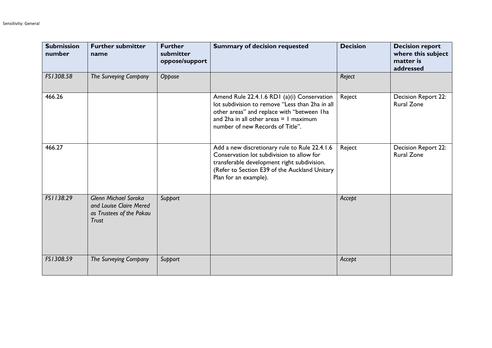| <b>Submission</b><br>number | <b>Further submitter</b><br>name                                                            | <b>Further</b><br>submitter<br>oppose/support | <b>Summary of decision requested</b>                                                                                                                                                                                           | <b>Decision</b> | <b>Decision report</b><br>where this subject<br>matter is<br>addressed |
|-----------------------------|---------------------------------------------------------------------------------------------|-----------------------------------------------|--------------------------------------------------------------------------------------------------------------------------------------------------------------------------------------------------------------------------------|-----------------|------------------------------------------------------------------------|
| FS1308.58                   | The Surveying Company                                                                       | Oppose                                        |                                                                                                                                                                                                                                | Reject          |                                                                        |
| 466.26                      |                                                                                             |                                               | Amend Rule 22.4.1.6 RD1 (a)(i) Conservation<br>lot subdivision to remove "Less than 2ha in all<br>other areas" and replace with "between Iha<br>and $2ha$ in all other areas $= 1$ maximum<br>number of new Records of Title". | Reject          | Decision Report 22:<br><b>Rural Zone</b>                               |
| 466.27                      |                                                                                             |                                               | Add a new discretionary rule to Rule 22.4.1.6<br>Conservation lot subdivision to allow for<br>transferable development right subdivision.<br>(Refer to Section E39 of the Auckland Unitary<br>Plan for an example).            | Reject          | Decision Report 22:<br><b>Rural Zone</b>                               |
| FS1138.29                   | Glenn Michael Soroka<br>and Louise Claire Mered<br>as Trustees of the Pakau<br><b>Trust</b> | Support                                       |                                                                                                                                                                                                                                | Accept          |                                                                        |
| FS1308.59                   | The Surveying Company                                                                       | Support                                       |                                                                                                                                                                                                                                | Accept          |                                                                        |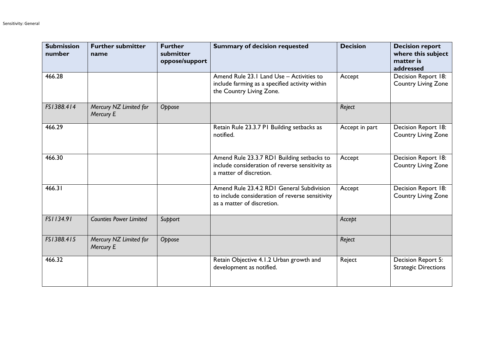| <b>Submission</b><br>number | <b>Further submitter</b><br>name    | <b>Further</b><br>submitter<br>oppose/support | <b>Summary of decision requested</b>                                                                                       | <b>Decision</b> | <b>Decision report</b><br>where this subject<br>matter is<br>addressed |
|-----------------------------|-------------------------------------|-----------------------------------------------|----------------------------------------------------------------------------------------------------------------------------|-----------------|------------------------------------------------------------------------|
| 466.28                      |                                     |                                               | Amend Rule 23.1 Land Use - Activities to<br>include farming as a specified activity within<br>the Country Living Zone.     | Accept          | Decision Report 18:<br><b>Country Living Zone</b>                      |
| FS1388.414                  | Mercury NZ Limited for<br>Mercury E | Oppose                                        |                                                                                                                            | Reject          |                                                                        |
| 466.29                      |                                     |                                               | Retain Rule 23.3.7 P1 Building setbacks as<br>notified.                                                                    | Accept in part  | Decision Report 18:<br><b>Country Living Zone</b>                      |
| 466.30                      |                                     |                                               | Amend Rule 23.3.7 RD1 Building setbacks to<br>include consideration of reverse sensitivity as<br>a matter of discretion.   | Accept          | Decision Report 18:<br><b>Country Living Zone</b>                      |
| 466.31                      |                                     |                                               | Amend Rule 23.4.2 RDI General Subdivision<br>to include consideration of reverse sensitivity<br>as a matter of discretion. | Accept          | Decision Report 18:<br><b>Country Living Zone</b>                      |
| FS1134.91                   | <b>Counties Power Limited</b>       | Support                                       |                                                                                                                            | Accept          |                                                                        |
| FS1388.415                  | Mercury NZ Limited for<br>Mercury E | Oppose                                        |                                                                                                                            | Reject          |                                                                        |
| 466.32                      |                                     |                                               | Retain Objective 4.1.2 Urban growth and<br>development as notified.                                                        | Reject          | Decision Report 5:<br><b>Strategic Directions</b>                      |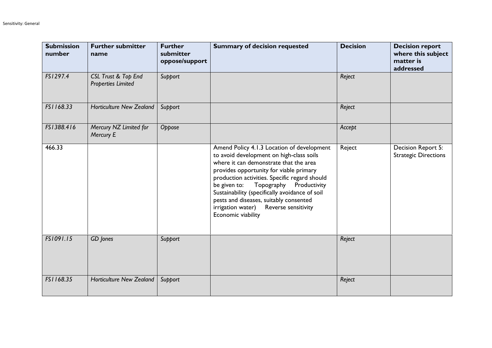| <b>Submission</b><br>number | <b>Further submitter</b><br>name                 | <b>Further</b><br>submitter<br>oppose/support | <b>Summary of decision requested</b>                                                                                                                                                                                                                                                                                                                                                                                                     | <b>Decision</b> | <b>Decision report</b><br>where this subject<br>matter is<br>addressed |
|-----------------------------|--------------------------------------------------|-----------------------------------------------|------------------------------------------------------------------------------------------------------------------------------------------------------------------------------------------------------------------------------------------------------------------------------------------------------------------------------------------------------------------------------------------------------------------------------------------|-----------------|------------------------------------------------------------------------|
| FS1297.4                    | CSL Trust & Top End<br><b>Properties Limited</b> | Support                                       |                                                                                                                                                                                                                                                                                                                                                                                                                                          | Reject          |                                                                        |
| FS1168.33                   | <b>Horticulture New Zealand</b>                  | Support                                       |                                                                                                                                                                                                                                                                                                                                                                                                                                          | Reject          |                                                                        |
| FS1388.416                  | Mercury NZ Limited for<br>Mercury E              | Oppose                                        |                                                                                                                                                                                                                                                                                                                                                                                                                                          | Accept          |                                                                        |
| 466.33                      |                                                  |                                               | Amend Policy 4.1.3 Location of development<br>to avoid development on high-class soils<br>where it can demonstrate that the area<br>provides opportunity for viable primary<br>production activities. Specific regard should<br>Topography<br>Productivity<br>be given to:<br>Sustainability (specifically avoidance of soil<br>pests and diseases, suitably consented<br>Reverse sensitivity<br>irrigation water)<br>Economic viability | Reject          | Decision Report 5:<br><b>Strategic Directions</b>                      |
| FS1091.15                   | GD Jones                                         | Support                                       |                                                                                                                                                                                                                                                                                                                                                                                                                                          | Reject          |                                                                        |
| FS1168.35                   | <b>Horticulture New Zealand</b>                  | Support                                       |                                                                                                                                                                                                                                                                                                                                                                                                                                          | Reject          |                                                                        |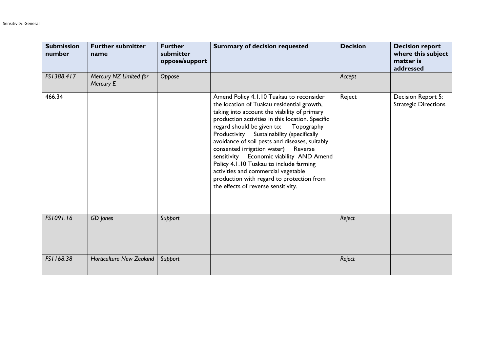| <b>Submission</b><br>number | <b>Further submitter</b><br>name    | <b>Further</b><br>submitter<br>oppose/support | <b>Summary of decision requested</b>                                                                                                                                                                                                                                                                                                                                                                                                                                                                                                                                                              | <b>Decision</b> | <b>Decision report</b><br>where this subject<br>matter is<br>addressed |
|-----------------------------|-------------------------------------|-----------------------------------------------|---------------------------------------------------------------------------------------------------------------------------------------------------------------------------------------------------------------------------------------------------------------------------------------------------------------------------------------------------------------------------------------------------------------------------------------------------------------------------------------------------------------------------------------------------------------------------------------------------|-----------------|------------------------------------------------------------------------|
| FS1388.417                  | Mercury NZ Limited for<br>Mercury E | Oppose                                        |                                                                                                                                                                                                                                                                                                                                                                                                                                                                                                                                                                                                   | Accept          |                                                                        |
| 466.34                      |                                     |                                               | Amend Policy 4.1.10 Tuakau to reconsider<br>the location of Tuakau residential growth,<br>taking into account the viability of primary<br>production activities in this location. Specific<br>regard should be given to:<br>Topography<br>Productivity Sustainability (specifically<br>avoidance of soil pests and diseases, suitably<br>consented irrigation water) Reverse<br>Economic viability AND Amend<br>sensitivity<br>Policy 4.1.10 Tuakau to include farming<br>activities and commercial vegetable<br>production with regard to protection from<br>the effects of reverse sensitivity. | Reject          | Decision Report 5:<br><b>Strategic Directions</b>                      |
| FS1091.16                   | GD Jones                            | Support                                       |                                                                                                                                                                                                                                                                                                                                                                                                                                                                                                                                                                                                   | Reject          |                                                                        |
| FS1168.38                   | <b>Horticulture New Zealand</b>     | Support                                       |                                                                                                                                                                                                                                                                                                                                                                                                                                                                                                                                                                                                   | Reject          |                                                                        |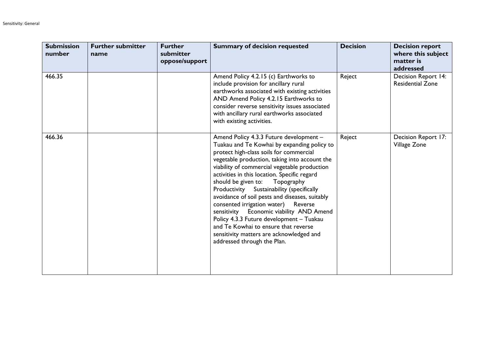| <b>Submission</b><br>number | <b>Further submitter</b><br>name | <b>Further</b><br>submitter<br>oppose/support | <b>Summary of decision requested</b>                                                                                                                                                                                                                                                                                                                                                                                                                                                                                                                                                                                                                                        | <b>Decision</b> | <b>Decision report</b><br>where this subject<br>matter is<br>addressed |
|-----------------------------|----------------------------------|-----------------------------------------------|-----------------------------------------------------------------------------------------------------------------------------------------------------------------------------------------------------------------------------------------------------------------------------------------------------------------------------------------------------------------------------------------------------------------------------------------------------------------------------------------------------------------------------------------------------------------------------------------------------------------------------------------------------------------------------|-----------------|------------------------------------------------------------------------|
| 466.35                      |                                  |                                               | Amend Policy 4.2.15 (c) Earthworks to<br>include provision for ancillary rural<br>earthworks associated with existing activities<br>AND Amend Policy 4.2.15 Earthworks to<br>consider reverse sensitivity issues associated<br>with ancillary rural earthworks associated<br>with existing activities.                                                                                                                                                                                                                                                                                                                                                                      | Reject          | Decision Report 14:<br><b>Residential Zone</b>                         |
| 466.36                      |                                  |                                               | Amend Policy 4.3.3 Future development -<br>Tuakau and Te Kowhai by expanding policy to<br>protect high-class soils for commercial<br>vegetable production, taking into account the<br>viability of commercial vegetable production<br>activities in this location. Specific regard<br>should be given to:<br>Topography<br>Productivity Sustainability (specifically<br>avoidance of soil pests and diseases, suitably<br>consented irrigation water)<br>Reverse<br>sensitivity Economic viability AND Amend<br>Policy 4.3.3 Future development - Tuakau<br>and Te Kowhai to ensure that reverse<br>sensitivity matters are acknowledged and<br>addressed through the Plan. | Reject          | Decision Report 17:<br>Village Zone                                    |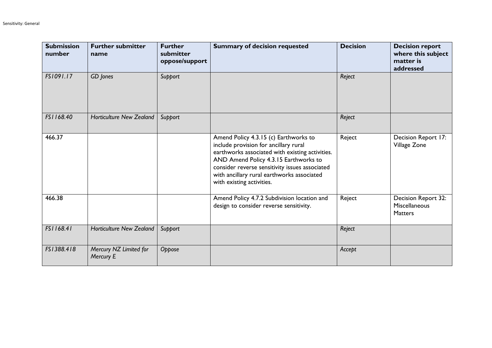| <b>Submission</b><br>number | <b>Further submitter</b><br>name    | <b>Further</b><br>submitter<br>oppose/support | <b>Summary of decision requested</b>                                                                                                                                                                                                                                                                    | <b>Decision</b> | <b>Decision report</b><br>where this subject<br>matter is<br>addressed |
|-----------------------------|-------------------------------------|-----------------------------------------------|---------------------------------------------------------------------------------------------------------------------------------------------------------------------------------------------------------------------------------------------------------------------------------------------------------|-----------------|------------------------------------------------------------------------|
| FS1091.17                   | GD Jones                            | Support                                       |                                                                                                                                                                                                                                                                                                         | Reject          |                                                                        |
| FS1168.40                   | <b>Horticulture New Zealand</b>     | Support                                       |                                                                                                                                                                                                                                                                                                         | Reject          |                                                                        |
| 466.37                      |                                     |                                               | Amend Policy 4.3.15 (c) Earthworks to<br>include provision for ancillary rural<br>earthworks associated with existing activities.<br>AND Amend Policy 4.3.15 Earthworks to<br>consider reverse sensitivity issues associated<br>with ancillary rural earthworks associated<br>with existing activities. | Reject          | Decision Report 17:<br>Village Zone                                    |
| 466.38                      |                                     |                                               | Amend Policy 4.7.2 Subdivision location and<br>design to consider reverse sensitivity.                                                                                                                                                                                                                  | Reject          | Decision Report 32:<br>Miscellaneous<br><b>Matters</b>                 |
| FS1168.41                   | <b>Horticulture New Zealand</b>     | Support                                       |                                                                                                                                                                                                                                                                                                         | Reject          |                                                                        |
| FS1388.418                  | Mercury NZ Limited for<br>Mercury E | Oppose                                        |                                                                                                                                                                                                                                                                                                         | Accept          |                                                                        |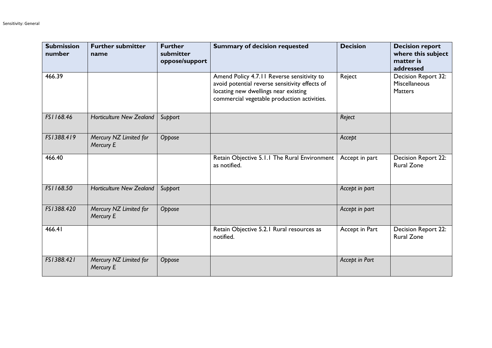| <b>Submission</b><br>number | <b>Further submitter</b><br>name    | <b>Further</b><br>submitter<br>oppose/support | <b>Summary of decision requested</b>                                                                                                                                                | <b>Decision</b> | <b>Decision report</b><br>where this subject<br>matter is<br>addressed |
|-----------------------------|-------------------------------------|-----------------------------------------------|-------------------------------------------------------------------------------------------------------------------------------------------------------------------------------------|-----------------|------------------------------------------------------------------------|
| 466.39                      |                                     |                                               | Amend Policy 4.7.11 Reverse sensitivity to<br>avoid potential reverse sensitivity effects of<br>locating new dwellings near existing<br>commercial vegetable production activities. | Reject          | Decision Report 32:<br>Miscellaneous<br><b>Matters</b>                 |
| FS1168.46                   | <b>Horticulture New Zealand</b>     | Support                                       |                                                                                                                                                                                     | Reject          |                                                                        |
| FS1388.419                  | Mercury NZ Limited for<br>Mercury E | Oppose                                        |                                                                                                                                                                                     | Accept          |                                                                        |
| 466.40                      |                                     |                                               | Retain Objective 5.1.1 The Rural Environment<br>as notified.                                                                                                                        | Accept in part  | Decision Report 22:<br><b>Rural Zone</b>                               |
| FS1168.50                   | <b>Horticulture New Zealand</b>     | Support                                       |                                                                                                                                                                                     | Accept in part  |                                                                        |
| FS1388.420                  | Mercury NZ Limited for<br>Mercury E | Oppose                                        |                                                                                                                                                                                     | Accept in part  |                                                                        |
| 466.41                      |                                     |                                               | Retain Objective 5.2.1 Rural resources as<br>notified.                                                                                                                              | Accept in Part  | Decision Report 22:<br><b>Rural Zone</b>                               |
| FS1388.421                  | Mercury NZ Limited for<br>Mercury E | Oppose                                        |                                                                                                                                                                                     | Accept in Part  |                                                                        |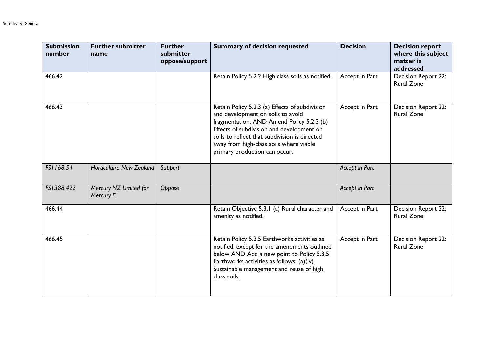| <b>Submission</b><br>number | <b>Further submitter</b><br>name    | <b>Further</b><br>submitter<br>oppose/support | <b>Summary of decision requested</b>                                                                                                                                                                                                                                                                       | <b>Decision</b> | <b>Decision report</b><br>where this subject<br>matter is<br>addressed |
|-----------------------------|-------------------------------------|-----------------------------------------------|------------------------------------------------------------------------------------------------------------------------------------------------------------------------------------------------------------------------------------------------------------------------------------------------------------|-----------------|------------------------------------------------------------------------|
| 466.42                      |                                     |                                               | Retain Policy 5.2.2 High class soils as notified.                                                                                                                                                                                                                                                          | Accept in Part  | Decision Report 22:<br><b>Rural Zone</b>                               |
| 466.43                      |                                     |                                               | Retain Policy 5.2.3 (a) Effects of subdivision<br>and development on soils to avoid<br>fragmentation. AND Amend Policy 5.2.3 (b)<br>Effects of subdivision and development on<br>soils to reflect that subdivision is directed<br>away from high-class soils where viable<br>primary production can occur. | Accept in Part  | <b>Decision Report 22:</b><br><b>Rural Zone</b>                        |
| FS1168.54                   | <b>Horticulture New Zealand</b>     | Support                                       |                                                                                                                                                                                                                                                                                                            | Accept in Part  |                                                                        |
| FS1388.422                  | Mercury NZ Limited for<br>Mercury E | Oppose                                        |                                                                                                                                                                                                                                                                                                            | Accept in Part  |                                                                        |
| 466.44                      |                                     |                                               | Retain Objective 5.3.1 (a) Rural character and<br>amenity as notified.                                                                                                                                                                                                                                     | Accept in Part  | Decision Report 22:<br><b>Rural Zone</b>                               |
| 466.45                      |                                     |                                               | Retain Policy 5.3.5 Earthworks activities as<br>notified, except for the amendments outlined<br>below AND Add a new point to Policy 5.3.5<br>Earthworks activities as follows: $(a)(iv)$<br>Sustainable management and reuse of high<br>class soils.                                                       | Accept in Part  | Decision Report 22:<br><b>Rural Zone</b>                               |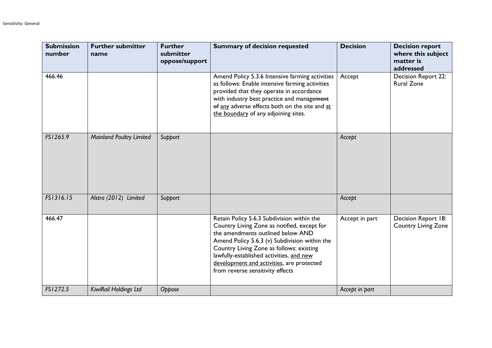| <b>Submission</b><br>number | <b>Further submitter</b><br>name | <b>Further</b><br>submitter<br>oppose/support | <b>Summary of decision requested</b>                                                                                                                                                                                                                                                                                                                     | <b>Decision</b> | <b>Decision report</b><br>where this subject<br>matter is<br>addressed |
|-----------------------------|----------------------------------|-----------------------------------------------|----------------------------------------------------------------------------------------------------------------------------------------------------------------------------------------------------------------------------------------------------------------------------------------------------------------------------------------------------------|-----------------|------------------------------------------------------------------------|
| 466.46                      |                                  |                                               | Amend Policy 5.3.6 Intensive farming activities<br>as follows: Enable intensive farming activities<br>provided that they operate in accordance<br>with industry best practice and management<br>of any adverse effects both on the site and at<br>the boundary of any adjoining sites.                                                                   | Accept          | Decision Report 22:<br><b>Rural Zone</b>                               |
| FS1265.9                    | <b>Mainland Poultry Limited</b>  | Support                                       |                                                                                                                                                                                                                                                                                                                                                          | Accept          |                                                                        |
| FS1316.15                   | Alstra (2012) Limited            | Support                                       |                                                                                                                                                                                                                                                                                                                                                          | Accept          |                                                                        |
| 466.47                      |                                  |                                               | Retain Policy 5.6.3 Subdivision within the<br>Country Living Zone as notified, except for<br>the amendments outlined below AND<br>Amend Policy 5.6.3 (v) Subdivision within the<br>Country Living Zone as follows: existing<br>lawfully-established activities, and new<br>development and activities, are protected<br>from reverse sensitivity effects | Accept in part  | Decision Report 18:<br><b>Country Living Zone</b>                      |
| FS1272.5                    | KiwiRail Holdings Ltd            | Oppose                                        |                                                                                                                                                                                                                                                                                                                                                          | Accept in part  |                                                                        |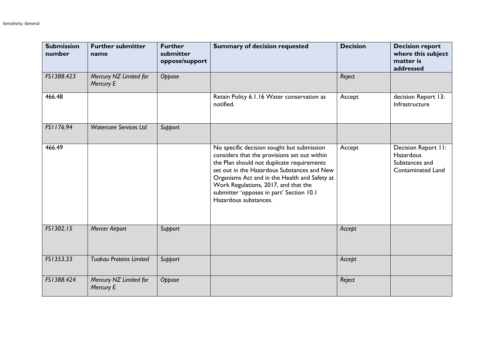| <b>Submission</b><br>number | <b>Further submitter</b><br>name    | <b>Further</b><br>submitter<br>oppose/support | <b>Summary of decision requested</b>                                                                                                                                                                                                                                                                                                                  | <b>Decision</b> | <b>Decision report</b><br>where this subject<br>matter is<br>addressed         |
|-----------------------------|-------------------------------------|-----------------------------------------------|-------------------------------------------------------------------------------------------------------------------------------------------------------------------------------------------------------------------------------------------------------------------------------------------------------------------------------------------------------|-----------------|--------------------------------------------------------------------------------|
| FS1388.423                  | Mercury NZ Limited for<br>Mercury E | Oppose                                        |                                                                                                                                                                                                                                                                                                                                                       | Reject          |                                                                                |
| 466.48                      |                                     |                                               | Retain Policy 6.1.16 Water conservation as<br>notified.                                                                                                                                                                                                                                                                                               | Accept          | decision Report 13:<br>Infrastructure                                          |
| FS1176.94                   | <b>Watercare Services Ltd</b>       | Support                                       |                                                                                                                                                                                                                                                                                                                                                       |                 |                                                                                |
| 466.49                      |                                     |                                               | No specific decision sought but submission<br>considers that the provisions set out within<br>the Plan should not duplicate requirements<br>set out in the Hazardous Substances and New<br>Organisms Act and in the Health and Safety at<br>Work Regulations, 2017, and that the<br>submitter 'opposes in part' Section 10.1<br>Hazardous substances. | Accept          | Decision Report II:<br><b>Hazardous</b><br>Substances and<br>Contaminated Land |
| FS1302.15                   | <b>Mercer Airport</b>               | Support                                       |                                                                                                                                                                                                                                                                                                                                                       | Accept          |                                                                                |
| FS1353.33                   | <b>Tuakau Proteins Limited</b>      | Support                                       |                                                                                                                                                                                                                                                                                                                                                       | Accept          |                                                                                |
| FS1388.424                  | Mercury NZ Limited for<br>Mercury E | Oppose                                        |                                                                                                                                                                                                                                                                                                                                                       | Reject          |                                                                                |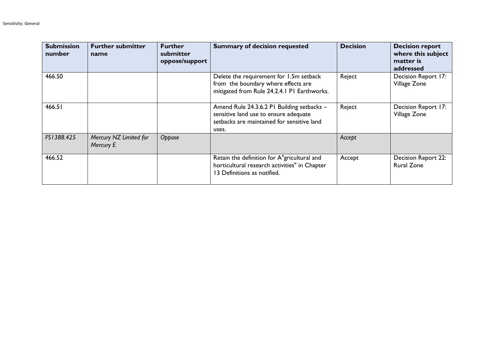| <b>Submission</b><br>number | <b>Further submitter</b><br>name    | <b>Further</b><br>submitter<br>oppose/support | <b>Summary of decision requested</b>                                                                                                       | <b>Decision</b> | <b>Decision report</b><br>where this subject<br>matter is<br>addressed |
|-----------------------------|-------------------------------------|-----------------------------------------------|--------------------------------------------------------------------------------------------------------------------------------------------|-----------------|------------------------------------------------------------------------|
| 466.50                      |                                     |                                               | Delete the requirement for 1.5m setback<br>from the boundary where effects are<br>mitigated from Rule 24.2.4.1 PI Earthworks.              | Reject          | Decision Report 17:<br>Village Zone                                    |
| 466.51                      |                                     |                                               | Amend Rule 24.3.6.2 PI Building setbacks -<br>sensitive land use to ensure adequate<br>setbacks are maintained for sensitive land<br>uses. | Reject          | Decision Report 17:<br>Village Zone                                    |
| FS1388.425                  | Mercury NZ Limited for<br>Mercury E | Oppose                                        |                                                                                                                                            | Accept          |                                                                        |
| 466.52                      |                                     |                                               | Retain the definition for A"gricultural and<br>horticultural research activities" in Chapter<br>13 Definitions as notified.                | Accept          | <b>Decision Report 22:</b><br><b>Rural Zone</b>                        |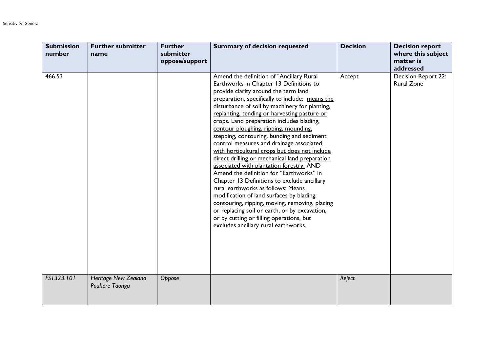| <b>Submission</b><br>number | <b>Further submitter</b><br>name              | <b>Further</b><br>submitter<br>oppose/support | <b>Summary of decision requested</b>                                                                                                                                                                                                                                                                                                                                                                                                                                                                                                                                                                                                                                                                                                                                                                                                                                                                                                                                                 | <b>Decision</b> | <b>Decision report</b><br>where this subject<br>matter is<br>addressed |
|-----------------------------|-----------------------------------------------|-----------------------------------------------|--------------------------------------------------------------------------------------------------------------------------------------------------------------------------------------------------------------------------------------------------------------------------------------------------------------------------------------------------------------------------------------------------------------------------------------------------------------------------------------------------------------------------------------------------------------------------------------------------------------------------------------------------------------------------------------------------------------------------------------------------------------------------------------------------------------------------------------------------------------------------------------------------------------------------------------------------------------------------------------|-----------------|------------------------------------------------------------------------|
| 466.53                      |                                               |                                               | Amend the definition of "Ancillary Rural<br>Earthworks in Chapter 13 Definitions to<br>provide clarity around the term land<br>preparation, specifically to include: means the<br>disturbance of soil by machinery for planting,<br>replanting, tending or harvesting pasture or<br>crops. Land preparation includes blading.<br>contour ploughing, ripping, mounding,<br>stepping, contouring, bunding and sediment<br>control measures and drainage associated<br>with horticultural crops but does not include<br>direct drilling or mechanical land preparation<br>associated with plantation forestry. AND<br>Amend the definition for "Earthworks" in<br>Chapter 13 Definitions to exclude ancillary<br>rural earthworks as follows: Means<br>modification of land surfaces by blading,<br>contouring, ripping, moving, removing, placing<br>or replacing soil or earth, or by excavation,<br>or by cutting or filling operations, but<br>excludes ancillary rural earthworks. | Accept          | Decision Report 22:<br><b>Rural Zone</b>                               |
| FS1323.101                  | <b>Heritage New Zealand</b><br>Pouhere Taonga | Oppose                                        |                                                                                                                                                                                                                                                                                                                                                                                                                                                                                                                                                                                                                                                                                                                                                                                                                                                                                                                                                                                      | Reject          |                                                                        |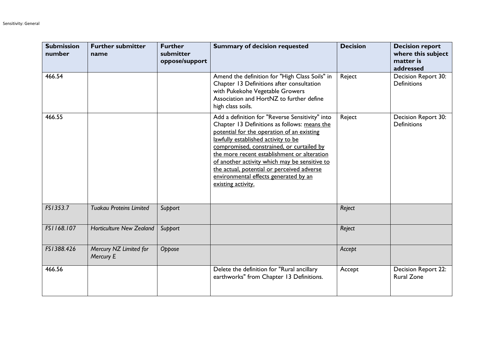| <b>Submission</b><br>number | <b>Further submitter</b><br>name    | <b>Further</b><br>submitter<br>oppose/support | <b>Summary of decision requested</b>                                                                                                                                                                                                                                                                                                                                                                                                           | <b>Decision</b> | <b>Decision report</b><br>where this subject<br>matter is<br>addressed |
|-----------------------------|-------------------------------------|-----------------------------------------------|------------------------------------------------------------------------------------------------------------------------------------------------------------------------------------------------------------------------------------------------------------------------------------------------------------------------------------------------------------------------------------------------------------------------------------------------|-----------------|------------------------------------------------------------------------|
| 466.54                      |                                     |                                               | Amend the definition for "High Class Soils" in<br>Chapter 13 Definitions after consultation<br>with Pukekohe Vegetable Growers<br>Association and HortNZ to further define<br>high class soils.                                                                                                                                                                                                                                                | Reject          | Decision Report 30:<br><b>Definitions</b>                              |
| 466.55                      |                                     |                                               | Add a definition for "Reverse Sensitivity" into<br>Chapter 13 Definitions as follows: means the<br>potential for the operation of an existing<br>lawfully established activity to be<br>compromised, constrained, or curtailed by<br>the more recent establishment or alteration<br>of another activity which may be sensitive to<br>the actual, potential or perceived adverse<br>environmental effects generated by an<br>existing activity. | Reject          | Decision Report 30:<br><b>Definitions</b>                              |
| FS1353.7                    | <b>Tuakau Proteins Limited</b>      | Support                                       |                                                                                                                                                                                                                                                                                                                                                                                                                                                | Reject          |                                                                        |
| FS1168.107                  | <b>Horticulture New Zealand</b>     | Support                                       |                                                                                                                                                                                                                                                                                                                                                                                                                                                | Reject          |                                                                        |
| FS1388.426                  | Mercury NZ Limited for<br>Mercury E | Oppose                                        |                                                                                                                                                                                                                                                                                                                                                                                                                                                | Accept          |                                                                        |
| 466.56                      |                                     |                                               | Delete the definition for "Rural ancillary<br>earthworks" from Chapter 13 Definitions.                                                                                                                                                                                                                                                                                                                                                         | Accept          | Decision Report 22:<br><b>Rural Zone</b>                               |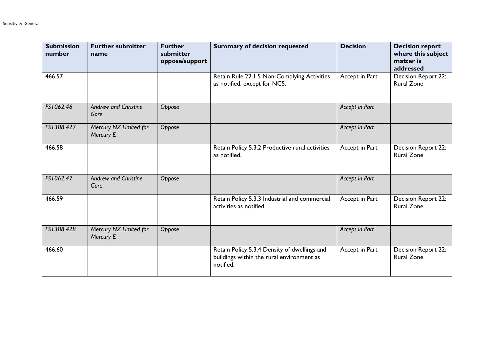| <b>Submission</b><br>number | <b>Further submitter</b><br>name    | <b>Further</b><br>submitter<br>oppose/support | <b>Summary of decision requested</b>                                                                   | <b>Decision</b> | <b>Decision report</b><br>where this subject<br>matter is<br>addressed |
|-----------------------------|-------------------------------------|-----------------------------------------------|--------------------------------------------------------------------------------------------------------|-----------------|------------------------------------------------------------------------|
| 466.57                      |                                     |                                               | Retain Rule 22.1.5 Non-Complying Activities<br>as notified, except for NC5.                            | Accept in Part  | Decision Report 22:<br><b>Rural Zone</b>                               |
| FS1062.46                   | <b>Andrew and Christine</b><br>Gore | Oppose                                        |                                                                                                        | Accept in Part  |                                                                        |
| FS1388.427                  | Mercury NZ Limited for<br>Mercury E | Oppose                                        |                                                                                                        | Accept in Part  |                                                                        |
| 466.58                      |                                     |                                               | Retain Policy 5.3.2 Productive rural activities<br>as notified.                                        | Accept in Part  | Decision Report 22:<br><b>Rural Zone</b>                               |
| FS1062.47                   | <b>Andrew and Christine</b><br>Gore | Oppose                                        |                                                                                                        | Accept in Part  |                                                                        |
| 466.59                      |                                     |                                               | Retain Policy 5.3.3 Industrial and commercial<br>activities as notified.                               | Accept in Part  | Decision Report 22:<br><b>Rural Zone</b>                               |
| FS1388.428                  | Mercury NZ Limited for<br>Mercury E | Oppose                                        |                                                                                                        | Accept in Part  |                                                                        |
| 466.60                      |                                     |                                               | Retain Policy 5.3.4 Density of dwellings and<br>buildings within the rural environment as<br>notified. | Accept in Part  | Decision Report 22:<br><b>Rural Zone</b>                               |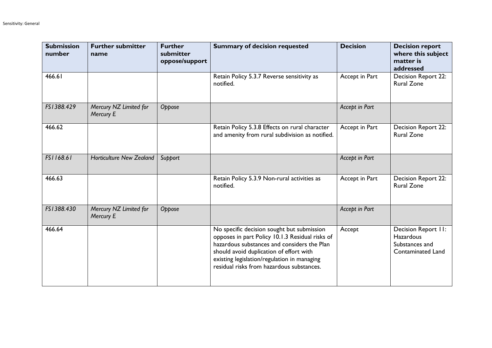| <b>Submission</b><br>number | <b>Further submitter</b><br>name    | <b>Further</b><br>submitter<br>oppose/support | <b>Summary of decision requested</b>                                                                                                                                                                                                                                                | <b>Decision</b> | <b>Decision report</b><br>where this subject<br>matter is<br>addressed         |
|-----------------------------|-------------------------------------|-----------------------------------------------|-------------------------------------------------------------------------------------------------------------------------------------------------------------------------------------------------------------------------------------------------------------------------------------|-----------------|--------------------------------------------------------------------------------|
| 466.61                      |                                     |                                               | Retain Policy 5.3.7 Reverse sensitivity as<br>notified.                                                                                                                                                                                                                             | Accept in Part  | Decision Report 22:<br><b>Rural Zone</b>                                       |
| FS1388.429                  | Mercury NZ Limited for<br>Mercury E | Oppose                                        |                                                                                                                                                                                                                                                                                     | Accept in Part  |                                                                                |
| 466.62                      |                                     |                                               | Retain Policy 5.3.8 Effects on rural character<br>and amenity from rural subdivision as notified.                                                                                                                                                                                   | Accept in Part  | Decision Report 22:<br><b>Rural Zone</b>                                       |
| FS1168.61                   | <b>Horticulture New Zealand</b>     | Support                                       |                                                                                                                                                                                                                                                                                     | Accept in Part  |                                                                                |
| 466.63                      |                                     |                                               | Retain Policy 5.3.9 Non-rural activities as<br>notified.                                                                                                                                                                                                                            | Accept in Part  | <b>Decision Report 22:</b><br><b>Rural Zone</b>                                |
| FS1388.430                  | Mercury NZ Limited for<br>Mercury E | Oppose                                        |                                                                                                                                                                                                                                                                                     | Accept in Part  |                                                                                |
| 466.64                      |                                     |                                               | No specific decision sought but submission<br>opposes in part Policy 10.1.3 Residual risks of<br>hazardous substances and considers the Plan<br>should avoid duplication of effort with<br>existing legislation/regulation in managing<br>residual risks from hazardous substances. | Accept          | Decision Report II:<br><b>Hazardous</b><br>Substances and<br>Contaminated Land |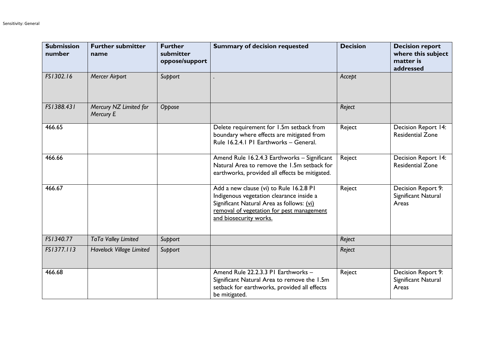| <b>Submission</b><br>number | <b>Further submitter</b><br>name    | <b>Further</b><br>submitter<br>oppose/support | <b>Summary of decision requested</b>                                                                                                                                                                    | <b>Decision</b> | <b>Decision report</b><br>where this subject<br>matter is<br>addressed |
|-----------------------------|-------------------------------------|-----------------------------------------------|---------------------------------------------------------------------------------------------------------------------------------------------------------------------------------------------------------|-----------------|------------------------------------------------------------------------|
| FS1302.16                   | <b>Mercer Airport</b>               | Support                                       |                                                                                                                                                                                                         | Accept          |                                                                        |
| FS1388.431                  | Mercury NZ Limited for<br>Mercury E | Oppose                                        |                                                                                                                                                                                                         | Reject          |                                                                        |
| 466.65                      |                                     |                                               | Delete requirement for 1.5m setback from<br>boundary where effects are mitigated from<br>Rule 16.2.4.1 PI Earthworks - General.                                                                         | Reject          | Decision Report 14:<br><b>Residential Zone</b>                         |
| 466.66                      |                                     |                                               | Amend Rule 16.2.4.3 Earthworks - Significant<br>Natural Area to remove the 1.5m setback for<br>earthworks, provided all effects be mitigated.                                                           | Reject          | Decision Report 14:<br><b>Residential Zone</b>                         |
| 466.67                      |                                     |                                               | Add a new clause (vi) to Rule 16.2.8 PI<br>Indigenous vegetation clearance inside a<br>Significant Natural Area as follows: (vi)<br>removal of vegetation for pest management<br>and biosecurity works. | Reject          | Decision Report 9:<br>Significant Natural<br>Areas                     |
| FS1340.77                   | TaTa Valley Limited                 | Support                                       |                                                                                                                                                                                                         | Reject          |                                                                        |
| FS1377.113                  | Havelock Village Limited            | Support                                       |                                                                                                                                                                                                         | Reject          |                                                                        |
| 466.68                      |                                     |                                               | Amend Rule 22.2.3.3 PI Earthworks -<br>Significant Natural Area to remove the 1.5m<br>setback for earthworks, provided all effects<br>be mitigated.                                                     | Reject          | Decision Report 9:<br>Significant Natural<br>Areas                     |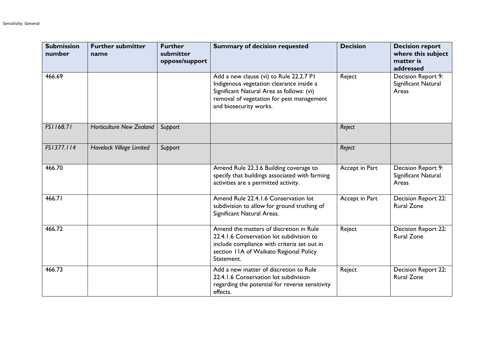| <b>Submission</b><br>number | <b>Further submitter</b><br>name | <b>Further</b><br>submitter<br>oppose/support | <b>Summary of decision requested</b>                                                                                                                                                                    | <b>Decision</b> | <b>Decision report</b><br>where this subject<br>matter is<br>addressed |
|-----------------------------|----------------------------------|-----------------------------------------------|---------------------------------------------------------------------------------------------------------------------------------------------------------------------------------------------------------|-----------------|------------------------------------------------------------------------|
| 466.69                      |                                  |                                               | Add a new clause (vi) to Rule 22.2.7 PI<br>Indigenous vegetation clearance inside a<br>Significant Natural Area as follows: (vi)<br>removal of vegetation for pest management<br>and biosecurity works. | Reject          | Decision Report 9:<br>Significant Natural<br>Areas                     |
| FS1168.71                   | <b>Horticulture New Zealand</b>  | Support                                       |                                                                                                                                                                                                         | Reject          |                                                                        |
| FS1377.114                  | Havelock Village Limited         | Support                                       |                                                                                                                                                                                                         | Reject          |                                                                        |
| 466.70                      |                                  |                                               | Amend Rule 22.3.6 Building coverage to<br>specify that buildings associated with farming<br>activities are a permitted activity.                                                                        | Accept in Part  | Decision Report 9:<br>Significant Natural<br>Areas                     |
| 466.71                      |                                  |                                               | Amend Rule 22.4.1.6 Conservation lot<br>subdivision to allow for ground truthing of<br>Significant Natural Areas.                                                                                       | Accept in Part  | Decision Report 22:<br><b>Rural Zone</b>                               |
| 466.72                      |                                  |                                               | Amend the matters of discretion in Rule<br>22.4.1.6 Conservation lot subdivision to<br>include compliance with criteria set out in<br>section 11A of Waikato Regional Policy<br>Statement.              | Reject          | Decision Report 22:<br><b>Rural Zone</b>                               |
| 466.73                      |                                  |                                               | Add a new matter of discretion to Rule<br>22.4.1.6 Conservation lot subdivision<br>regarding the potential for reverse sensitivity<br>effects.                                                          | Reject          | Decision Report 22:<br><b>Rural Zone</b>                               |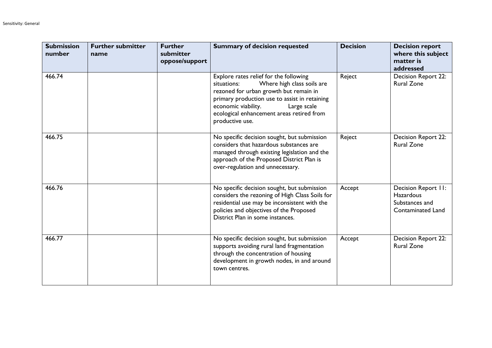| <b>Submission</b><br>number | <b>Further submitter</b><br>name | <b>Further</b><br>submitter<br>oppose/support | <b>Summary of decision requested</b>                                                                                                                                                                                                                                                 | <b>Decision</b> | <b>Decision report</b><br>where this subject<br>matter is<br>addressed                |
|-----------------------------|----------------------------------|-----------------------------------------------|--------------------------------------------------------------------------------------------------------------------------------------------------------------------------------------------------------------------------------------------------------------------------------------|-----------------|---------------------------------------------------------------------------------------|
| 466.74                      |                                  |                                               | Explore rates relief for the following<br>Where high class soils are<br>situations:<br>rezoned for urban growth but remain in<br>primary production use to assist in retaining<br>economic viability.<br>Large scale<br>ecological enhancement areas retired from<br>productive use. | Reject          | Decision Report 22:<br><b>Rural Zone</b>                                              |
| 466.75                      |                                  |                                               | No specific decision sought, but submission<br>considers that hazardous substances are<br>managed through existing legislation and the<br>approach of the Proposed District Plan is<br>over-regulation and unnecessary.                                                              | Reject          | Decision Report 22:<br><b>Rural Zone</b>                                              |
| 466.76                      |                                  |                                               | No specific decision sought, but submission<br>considers the rezoning of High Class Soils for<br>residential use may be inconsistent with the<br>policies and objectives of the Proposed<br>District Plan in some instances.                                                         | Accept          | Decision Report II:<br><b>Hazardous</b><br>Substances and<br><b>Contaminated Land</b> |
| 466.77                      |                                  |                                               | No specific decision sought, but submission<br>supports avoiding rural land fragmentation<br>through the concentration of housing<br>development in growth nodes, in and around<br>town centres.                                                                                     | Accept          | <b>Decision Report 22:</b><br><b>Rural Zone</b>                                       |